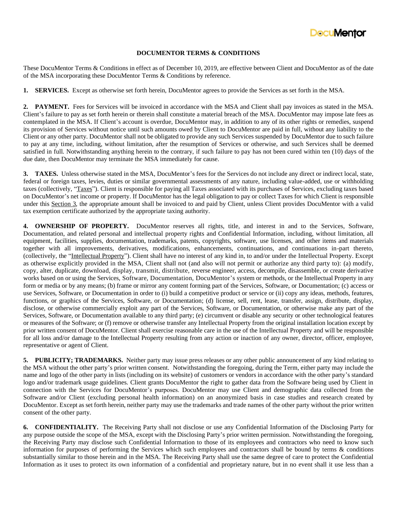

## **DOCUMENTOR TERMS & CONDITIONS**

These DocuMentor Terms & Conditions in effect as of December 10, 2019, are effective between Client and DocuMentor as of the date of the MSA incorporating these DocuMentor Terms & Conditions by reference.

**1. SERVICES.** Except as otherwise set forth herein, DocuMentor agrees to provide the Services as set forth in the MSA.

**2. PAYMENT.** Fees for Services will be invoiced in accordance with the MSA and Client shall pay invoices as stated in the MSA. Client's failure to pay as set forth herein or therein shall constitute a material breach of the MSA. DocuMentor may impose late fees as contemplated in the MSA. If Client's account is overdue, DocuMentor may, in addition to any of its other rights or remedies, suspend its provision of Services without notice until such amounts owed by Client to DocuMentor are paid in full, without any liability to the Client or any other party. DocuMentor shall not be obligated to provide any such Services suspended by DocuMentor due to such failure to pay at any time, including, without limitation, after the resumption of Services or otherwise, and such Services shall be deemed satisfied in full. Notwithstanding anything herein to the contrary, if such failure to pay has not been cured within ten (10) days of the due date, then DocuMentor may terminate the MSA immediately for cause.

**3. TAXES.** Unless otherwise stated in the MSA, DocuMentor's fees for the Services do not include any direct or indirect local, state, federal or foreign taxes, levies, duties or similar governmental assessments of any nature, including value-added, use or withholding taxes (collectively, "Taxes"). Client is responsible for paying all Taxes associated with its purchases of Services, excluding taxes based on DocuMentor's net income or property. If DocuMentor has the legal obligation to pay or collect Taxes for which Client is responsible under this Section 3, the appropriate amount shall be invoiced to and paid by Client, unless Client provides DocuMentor with a valid tax exemption certificate authorized by the appropriate taxing authority.

**4. OWNERSHIP OF PROPERTY.** DocuMentor reserves all rights, title, and interest in and to the Services, Software, Documentation, and related personal and intellectual property rights and Confidential Information, including, without limitation, all equipment, facilities, supplies, documentation, trademarks, patents, copyrights, software, use licenses, and other items and materials together with all improvements, derivatives, modifications, enhancements, continuations, and continuations in-part thereto, (collectively, the "Intellectual Property"). Client shall have no interest of any kind in, to and/or under the Intellectual Property. Except as otherwise explicitly provided in the MSA, Client shall not (and also will not permit or authorize any third party to): (a) modify, copy, alter, duplicate, download, display, transmit, distribute, reverse engineer, access, decompile, disassemble, or create derivative works based on or using the Services, Software, Documentation, DocuMentor's system or methods, or the Intellectual Property in any form or media or by any means; (b) frame or mirror any content forming part of the Services, Software, or Documentation; (c) access or use Services, Software, or Documentation in order to (i) build a competitive product or service or (ii) copy any ideas, methods, features, functions, or graphics of the Services, Software, or Documentation; (d) license, sell, rent, lease, transfer, assign, distribute, display, disclose, or otherwise commercially exploit any part of the Services, Software, or Documentation, or otherwise make any part of the Services, Software, or Documentation available to any third party; (e) circumvent or disable any security or other technological features or measures of the Software; or (f) remove or otherwise transfer any Intellectual Property from the original installation location except by prior written consent of DocuMentor. Client shall exercise reasonable care in the use of the Intellectual Property and will be responsible for all loss and/or damage to the Intellectual Property resulting from any action or inaction of any owner, director, officer, employee, representative or agent of Client.

**5. PUBLICITY; TRADEMARKS.** Neither party may issue press releases or any other public announcement of any kind relating to the MSA without the other party's prior written consent. Notwithstanding the foregoing, during the Term, either party may include the name and logo of the other party in lists (including on its website) of customers or vendors in accordance with the other party's standard logo and/or trademark usage guidelines. Client grants DocuMentor the right to gather data from the Software being used by Client in connection with the Services for DocuMentor's purposes. DocuMentor may use Client and demographic data collected from the Software and/or Client (excluding personal health information) on an anonymized basis in case studies and research created by DocuMentor. Except as set forth herein, neither party may use the trademarks and trade names of the other party without the prior written consent of the other party.

**6. CONFIDENTIALITY.** The Receiving Party shall not disclose or use any Confidential Information of the Disclosing Party for any purpose outside the scope of the MSA, except with the Disclosing Party's prior written permission. Notwithstanding the foregoing, the Receiving Party may disclose such Confidential Information to those of its employees and contractors who need to know such information for purposes of performing the Services which such employees and contractors shall be bound by terms & conditions substantially similar to those herein and in the MSA. The Receiving Party shall use the same degree of care to protect the Confidential Information as it uses to protect its own information of a confidential and proprietary nature, but in no event shall it use less than a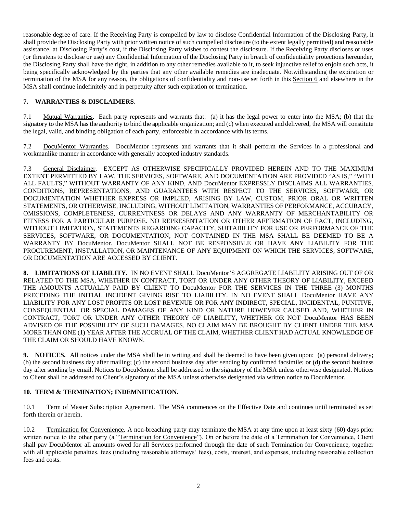reasonable degree of care. If the Receiving Party is compelled by law to disclose Confidential Information of the Disclosing Party, it shall provide the Disclosing Party with prior written notice of such compelled disclosure (to the extent legally permitted) and reasonable assistance, at Disclosing Party's cost, if the Disclosing Party wishes to contest the disclosure. If the Receiving Party discloses or uses (or threatens to disclose or use) any Confidential Information of the Disclosing Party in breach of confidentiality protections hereunder, the Disclosing Party shall have the right, in addition to any other remedies available to it, to seek injunctive relief to enjoin such acts, it being specifically acknowledged by the parties that any other available remedies are inadequate. Notwithstanding the expiration or termination of the MSA for any reason, the obligations of confidentiality and non-use set forth in this Section 6 and elsewhere in the MSA shall continue indefinitely and in perpetuity after such expiration or termination.

## **7. WARRANTIES & DISCLAIMERS**.

7.1 Mutual Warranties. Each party represents and warrants that: (a) it has the legal power to enter into the MSA; (b) that the signatory to the MSA has the authority to bind the applicable organization; and (c) when executed and delivered, the MSA will constitute the legal, valid, and binding obligation of each party, enforceable in accordance with its terms.

7.2 DocuMentor Warranties. DocuMentor represents and warrants that it shall perform the Services in a professional and workmanlike manner in accordance with generally accepted industry standards.

7.3 General Disclaimer. EXCEPT AS OTHERWISE SPECIFICALLY PROVIDED HEREIN AND TO THE MAXIMUM EXTENT PERMITTED BY LAW, THE SERVICES, SOFTWARE, AND DOCUMENTATION ARE PROVIDED "AS IS," "WITH ALL FAULTS," WITHOUT WARRANTY OF ANY KIND, AND DocuMentor EXPRESSLY DISCLAIMS ALL WARRANTIES, CONDITIONS, REPRESENTATIONS, AND GUARANTEES WITH RESPECT TO THE SERVICES, SOFTWARE, OR DOCUMENTATION WHETHER EXPRESS OR IMPLIED, ARISING BY LAW, CUSTOM, PRIOR ORAL OR WRITTEN STATEMENTS, OR OTHERWISE, INCLUDING, WITHOUT LIMITATION, WARRANTIES OF PERFORMANCE, ACCURACY, OMISSIONS, COMPLETENESS, CURRENTNESS OR DELAYS AND ANY WARRANTY OF MERCHANTABILITY OR FITNESS FOR A PARTICULAR PURPOSE. NO REPRESENTATION OR OTHER AFFIRMATION OF FACT, INCLUDING, WITHOUT LIMITATION, STATEMENTS REGARDING CAPACITY, SUITABILITY FOR USE OR PERFORMANCE OF THE SERVICES, SOFTWARE, OR DOCUMENTATION, NOT CONTAINED IN THE MSA SHALL BE DEEMED TO BE A WARRANTY BY DocuMentor. DocuMentor SHALL NOT BE RESPONSIBLE OR HAVE ANY LIABILITY FOR THE PROCUREMENT, INSTALLATION, OR MAINTENANCE OF ANY EQUIPMENT ON WHICH THE SERVICES, SOFTWARE, OR DOCUMENTATION ARE ACCESSED BY CLIENT.

**8. LIMITATIONS OF LIABILITY.** IN NO EVENT SHALL DocuMentor'S AGGREGATE LIABILITY ARISING OUT OF OR RELATED TO THE MSA, WHETHER IN CONTRACT, TORT OR UNDER ANY OTHER THEORY OF LIABILITY, EXCEED THE AMOUNTS ACTUALLY PAID BY CLIENT TO DocuMentor FOR THE SERVICES IN THE THREE (3) MONTHS PRECEDING THE INITIAL INCIDENT GIVING RISE TO LIABILITY. IN NO EVENT SHALL DocuMentor HAVE ANY LIABILITY FOR ANY LOST PROFITS OR LOST REVENUE OR FOR ANY INDIRECT, SPECIAL, INCIDENTAL, PUNITIVE, CONSEQUENTIAL OR SPECIAL DAMAGES OF ANY KIND OR NATURE HOWEVER CAUSED AND, WHETHER IN CONTRACT, TORT OR UNDER ANY OTHER THEORY OF LIABILITY, WHETHER OR NOT DocuMentor HAS BEEN ADVISED OF THE POSSIBILITY OF SUCH DAMAGES. NO CLAIM MAY BE BROUGHT BY CLIENT UNDER THE MSA MORE THAN ONE (1) YEAR AFTER THE ACCRUAL OF THE CLAIM, WHETHER CLIENT HAD ACTUAL KNOWLEDGE OF THE CLAIM OR SHOULD HAVE KNOWN.

**9. NOTICES.** All notices under the MSA shall be in writing and shall be deemed to have been given upon: (a) personal delivery; (b) the second business day after mailing; (c) the second business day after sending by confirmed facsimile; or (d) the second business day after sending by email. Notices to DocuMentor shall be addressed to the signatory of the MSA unless otherwise designated. Notices to Client shall be addressed to Client's signatory of the MSA unless otherwise designated via written notice to DocuMentor.

## **10. TERM & TERMINATION; INDEMNIFICATION.**

10.1 Term of Master Subscription Agreement. The MSA commences on the Effective Date and continues until terminated as set forth therein or herein.

10.2 Termination for Convenience. A non-breaching party may terminate the MSA at any time upon at least sixty (60) days prior written notice to the other party (a "Termination for Convenience"). On or before the date of a Termination for Convenience, Client shall pay DocuMentor all amounts owed for all Services performed through the date of such Termination for Convenience, together with all applicable penalties, fees (including reasonable attorneys' fees), costs, interest, and expenses, including reasonable collection fees and costs.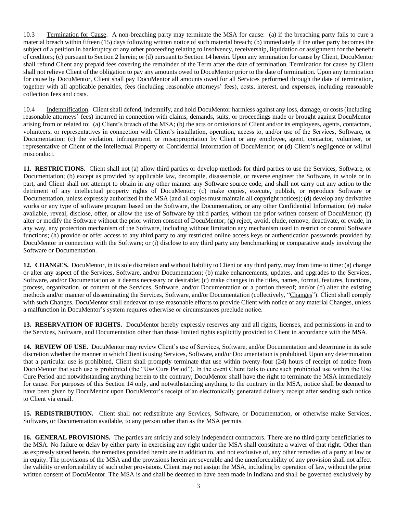10.3 Termination for Cause. A non-breaching party may terminate the MSA for cause: (a) if the breaching party fails to cure a material breach within fifteen (15) days following written notice of such material breach; (b) immediately if the other party becomes the subject of a petition in bankruptcy or any other proceeding relating to insolvency, receivership, liquidation or assignment for the benefit of creditors; (c) pursuant to Section 2 herein; or (d) pursuant to Section 14 herein. Upon any termination for cause by Client, DocuMentor shall refund Client any prepaid fees covering the remainder of the Term after the date of termination. Termination for cause by Client shall not relieve Client of the obligation to pay any amounts owed to DocuMentor prior to the date of termination. Upon any termination for cause by DocuMentor, Client shall pay DocuMentor all amounts owed for all Services performed through the date of termination, together with all applicable penalties, fees (including reasonable attorneys' fees), costs, interest, and expenses, including reasonable collection fees and costs.

10.4 Indemnification. Client shall defend, indemnify, and hold DocuMentor harmless against any loss, damage, or costs (including reasonable attorneys' fees) incurred in connection with claims, demands, suits, or proceedings made or brought against DocuMentor arising from or related to: (a) Client's breach of the MSA; (b) the acts or omissions of Client and/or its employees, agents, contactors, volunteers, or representatives in connection with Client's installation, operation, access to, and/or use of the Services, Software, or Documentation; (c) the violation, infringement, or misappropriation by Client or any employee, agent, contactor, volunteer, or representative of Client of the Intellectual Property or Confidential Information of DocuMentor; or (d) Client's negligence or willful misconduct.

**11. RESTRICTIONS.** Client shall not (a) allow third parties or develop methods for third parties to use the Services, Software, or Documentation; (b) except as provided by applicable law, decompile, disassemble, or reverse engineer the Software, in whole or in part, and Client shall not attempt to obtain in any other manner any Software source code, and shall not carry out any action to the detriment of any intellectual property rights of DocuMentor; (c) make copies, execute, publish, or reproduce Software or Documentation, unless expressly authorized in the MSA (and all copies must maintain all copyright notices); (d) develop any derivative works or any type of software program based on the Software, the Documentation, or any other Confidential Information; (e) make available, reveal, disclose, offer, or allow the use of Software by third parties, without the prior written consent of DocuMentor; (f) alter or modify the Software without the prior written consent of DocuMentor; (g) reject, avoid, elude, remove, deactivate, or evade, in any way, any protection mechanism of the Software, including without limitation any mechanism used to restrict or control Software functions; (h) provide or offer access to any third party to any restricted online access keys or authentication passwords provided by DocuMentor in connection with the Software; or (i) disclose to any third party any benchmarking or comparative study involving the Software or Documentation.

**12. CHANGES.** DocuMentor, in its sole discretion and without liability to Client or any third party, may from time to time: (a) change or alter any aspect of the Services, Software, and/or Documentation; (b) make enhancements, updates, and upgrades to the Services, Software, and/or Documentation as it deems necessary or desirable; (c) make changes in the titles, names, format, features, functions, process, organization, or content of the Services, Software, and/or Documentation or a portion thereof; and/or (d) alter the existing methods and/or manner of disseminating the Services, Software, and/or Documentation (collectively, "Changes"). Client shall comply with such Changes. DocuMentor shall endeavor to use reasonable efforts to provide Client with notice of any material Changes, unless a malfunction in DocuMentor's system requires otherwise or circumstances preclude notice.

**13. RESERVATION OF RIGHTS.** DocuMentor hereby expressly reserves any and all rights, licenses, and permissions in and to the Services, Software, and Documentation other than those limited rights explicitly provided to Client in accordance with the MSA.

**14. REVIEW OF USE.** DocuMentor may review Client's use of Services, Software, and/or Documentation and determine in its sole discretion whether the manner in which Client is using Services, Software, and/or Documentation is prohibited. Upon any determination that a particular use is prohibited, Client shall promptly terminate that use within twenty-four (24) hours of receipt of notice from DocuMentor that such use is prohibited (the "Use Cure Period"). In the event Client fails to cure such prohibited use within the Use Cure Period and notwithstanding anything herein to the contrary, DocuMentor shall have the right to terminate the MSA immediately for cause. For purposes of this Section 14 only, and notwithstanding anything to the contrary in the MSA, notice shall be deemed to have been given by DocuMentor upon DocuMentor's receipt of an electronically generated delivery receipt after sending such notice to Client via email.

**15. REDISTRIBUTION.** Client shall not redistribute any Services, Software, or Documentation, or otherwise make Services, Software, or Documentation available, to any person other than as the MSA permits.

**16. GENERAL PROVISIONS.** The parties are strictly and solely independent contractors. There are no third-party beneficiaries to the MSA. No failure or delay by either party in exercising any right under the MSA shall constitute a waiver of that right. Other than as expressly stated herein, the remedies provided herein are in addition to, and not exclusive of, any other remedies of a party at law or in equity. The provisions of the MSA and the provisions herein are severable and the unenforceability of any provision shall not affect the validity or enforceability of such other provisions. Client may not assign the MSA, including by operation of law, without the prior written consent of DocuMentor. The MSA is and shall be deemed to have been made in Indiana and shall be governed exclusively by